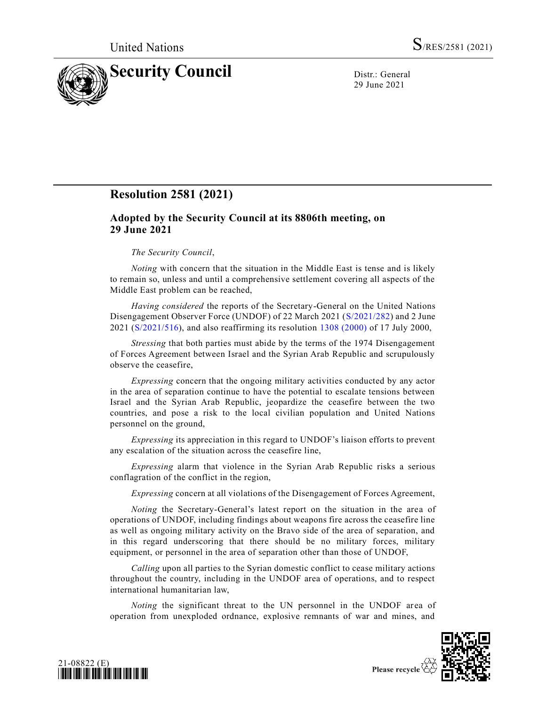

29 June 2021

## **Resolution 2581 (2021)**

## **Adopted by the Security Council at its 8806th meeting, on 29 June 2021**

## *The Security Council*,

*Noting* with concern that the situation in the Middle East is tense and is likely to remain so, unless and until a comprehensive settlement covering all aspects of the Middle East problem can be reached,

*Having considered* the reports of the Secretary-General on the United Nations Disengagement Observer Force (UNDOF) of 22 March 2021 [\(S/2021/282\)](https://undocs.org/en/S/2021/282) and 2 June 2021 [\(S/2021/516\)](https://undocs.org/en/S/2021/516), and also reaffirming its resolution [1308 \(2000\)](https://undocs.org/en/S/RES/1308(2000)) of 17 July 2000,

*Stressing* that both parties must abide by the terms of the 1974 Disengagement of Forces Agreement between Israel and the Syrian Arab Republic and scrupulously observe the ceasefire,

*Expressing* concern that the ongoing military activities conducted by any actor in the area of separation continue to have the potential to escalate tensions between Israel and the Syrian Arab Republic, jeopardize the ceasefire between the two countries, and pose a risk to the local civilian population and United Nations personnel on the ground,

*Expressing* its appreciation in this regard to UNDOF's liaison efforts to prevent any escalation of the situation across the ceasefire line,

*Expressing* alarm that violence in the Syrian Arab Republic risks a serious conflagration of the conflict in the region,

*Expressing* concern at all violations of the Disengagement of Forces Agreement,

*Noting* the Secretary-General's latest report on the situation in the area of operations of UNDOF, including findings about weapons fire across the ceasefire line as well as ongoing military activity on the Bravo side of the area of separation, and in this regard underscoring that there should be no military forces, military equipment, or personnel in the area of separation other than those of UNDOF,

*Calling* upon all parties to the Syrian domestic conflict to cease military actions throughout the country, including in the UNDOF area of operations, and to respect international humanitarian law,

*Noting* the significant threat to the UN personnel in the UNDOF area of operation from unexploded ordnance, explosive remnants of war and mines, and





Please recycle  $\Diamond$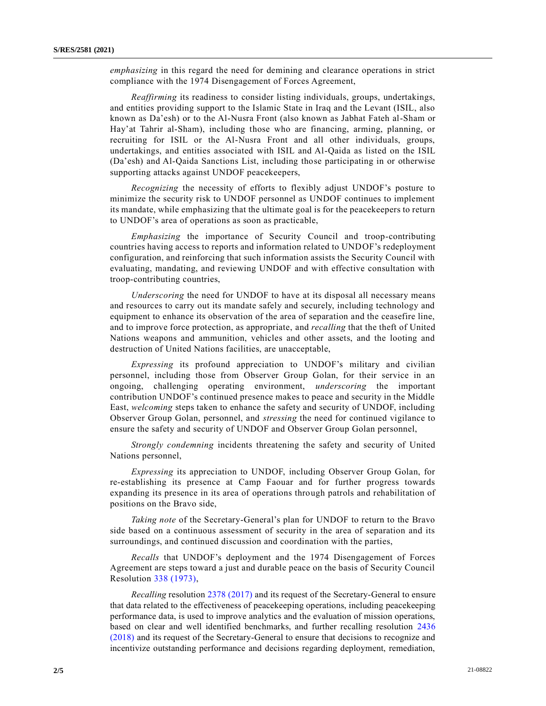*emphasizing* in this regard the need for demining and clearance operations in strict compliance with the 1974 Disengagement of Forces Agreement,

*Reaffirming* its readiness to consider listing individuals, groups, undertakings, and entities providing support to the Islamic State in Iraq and the Levant (ISIL, also known as Da'esh) or to the Al-Nusra Front (also known as Jabhat Fateh al-Sham or Hay'at Tahrir al-Sham), including those who are financing, arming, planning, or recruiting for ISIL or the Al-Nusra Front and all other individuals, groups, undertakings, and entities associated with ISIL and Al-Qaida as listed on the ISIL (Da'esh) and Al-Qaida Sanctions List, including those participating in or otherwise supporting attacks against UNDOF peacekeepers,

*Recognizing* the necessity of efforts to flexibly adjust UNDOF's posture to minimize the security risk to UNDOF personnel as UNDOF continues to implement its mandate, while emphasizing that the ultimate goal is for the peacekeepers to return to UNDOF's area of operations as soon as practicable,

*Emphasizing* the importance of Security Council and troop-contributing countries having access to reports and information related to UNDOF's redeployment configuration, and reinforcing that such information assists the Security Council with evaluating, mandating, and reviewing UNDOF and with effective consultation with troop-contributing countries,

*Underscoring* the need for UNDOF to have at its disposal all necessary means and resources to carry out its mandate safely and securely, including technology and equipment to enhance its observation of the area of separation and the ceasefire line, and to improve force protection, as appropriate, and *recalling* that the theft of United Nations weapons and ammunition, vehicles and other assets, and the looting and destruction of United Nations facilities, are unacceptable,

*Expressing* its profound appreciation to UNDOF's military and civilian personnel, including those from Observer Group Golan, for their service in an ongoing, challenging operating environment, *underscoring* the important contribution UNDOF's continued presence makes to peace and security in the Middle East, *welcoming* steps taken to enhance the safety and security of UNDOF, including Observer Group Golan, personnel, and *stressing* the need for continued vigilance to ensure the safety and security of UNDOF and Observer Group Golan personnel,

*Strongly condemning* incidents threatening the safety and security of United Nations personnel,

*Expressing* its appreciation to UNDOF, including Observer Group Golan, for re-establishing its presence at Camp Faouar and for further progress towards expanding its presence in its area of operations through patrols and rehabilitation of positions on the Bravo side,

*Taking note* of the Secretary-General's plan for UNDOF to return to the Bravo side based on a continuous assessment of security in the area of separation and its surroundings, and continued discussion and coordination with the parties,

*Recalls* that UNDOF's deployment and the 1974 Disengagement of Forces Agreement are steps toward a just and durable peace on the basis of Security Council Resolution [338 \(1973\),](https://undocs.org/en/S/RES/338(1973))

*Recalling* resolutio[n 2378 \(2017\)](https://undocs.org/en/S/RES/2378(2017)) and its request of the Secretary-General to ensure that data related to the effectiveness of peacekeeping operations, including peacekeeping performance data, is used to improve analytics and the evaluation of mission operations, based on clear and well identified benchmarks, and further recalling resolution [2436](https://undocs.org/en/S/RES/2436(2018))  [\(2018\)](https://undocs.org/en/S/RES/2436(2018)) and its request of the Secretary-General to ensure that decisions to recognize and incentivize outstanding performance and decisions regarding deployment, remediation,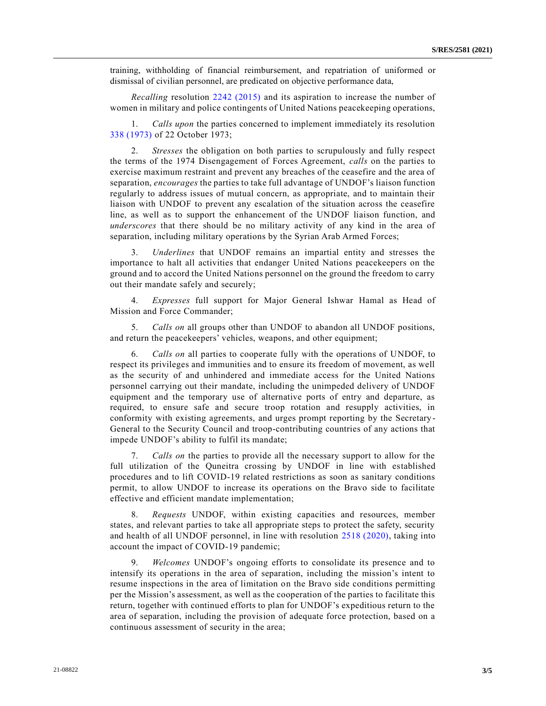training, withholding of financial reimbursement, and repatriation of uniformed or dismissal of civilian personnel, are predicated on objective performance data,

*Recalling* resolution [2242 \(2015\)](https://undocs.org/en/S/RES/2242(2015)) and its aspiration to increase the number of women in military and police contingents of United Nations peacekeeping operations,

1. *Calls upon* the parties concerned to implement immediately its resolution [338 \(1973\)](https://undocs.org/en/S/RES/338(1973)) of 22 October 1973;

2. *Stresses* the obligation on both parties to scrupulously and fully respect the terms of the 1974 Disengagement of Forces Agreement, *calls* on the parties to exercise maximum restraint and prevent any breaches of the ceasefire and the area of separation, *encourages* the parties to take full advantage of UNDOF's liaison function regularly to address issues of mutual concern, as appropriate, and to maintain their liaison with UNDOF to prevent any escalation of the situation across the ceasefire line, as well as to support the enhancement of the UNDOF liaison function, and *underscores* that there should be no military activity of any kind in the area of separation, including military operations by the Syrian Arab Armed Forces;

3. *Underlines* that UNDOF remains an impartial entity and stresses the importance to halt all activities that endanger United Nations peacekeepers on the ground and to accord the United Nations personnel on the ground the freedom to carry out their mandate safely and securely;

4. *Expresses* full support for Major General Ishwar Hamal as Head of Mission and Force Commander;

5. *Calls on* all groups other than UNDOF to abandon all UNDOF positions, and return the peacekeepers' vehicles, weapons, and other equipment;

6. *Calls on* all parties to cooperate fully with the operations of UNDOF, to respect its privileges and immunities and to ensure its freedom of movement, as well as the security of and unhindered and immediate access for the United Nations personnel carrying out their mandate, including the unimpeded delivery of UNDOF equipment and the temporary use of alternative ports of entry and departure, as required, to ensure safe and secure troop rotation and resupply activities, in conformity with existing agreements, and urges prompt reporting by the Secretary - General to the Security Council and troop-contributing countries of any actions that impede UNDOF's ability to fulfil its mandate;

7. *Calls on* the parties to provide all the necessary support to allow for the full utilization of the Quneitra crossing by UNDOF in line with established procedures and to lift COVID-19 related restrictions as soon as sanitary conditions permit, to allow UNDOF to increase its operations on the Bravo side to facilitate effective and efficient mandate implementation;

8. *Requests* UNDOF, within existing capacities and resources, member states, and relevant parties to take all appropriate steps to protect the safety, security and health of all UNDOF personnel, in line with resolution [2518 \(2020\),](https://undocs.org/en/S/RES/2518(2020)) taking into account the impact of COVID-19 pandemic;

9. *Welcomes* UNDOF's ongoing efforts to consolidate its presence and to intensify its operations in the area of separation, including the mission's intent to resume inspections in the area of limitation on the Bravo side conditions permitting per the Mission's assessment, as well as the cooperation of the parties to facilitate this return, together with continued efforts to plan for UNDOF's expeditious return to the area of separation, including the provision of adequate force protection, based on a continuous assessment of security in the area;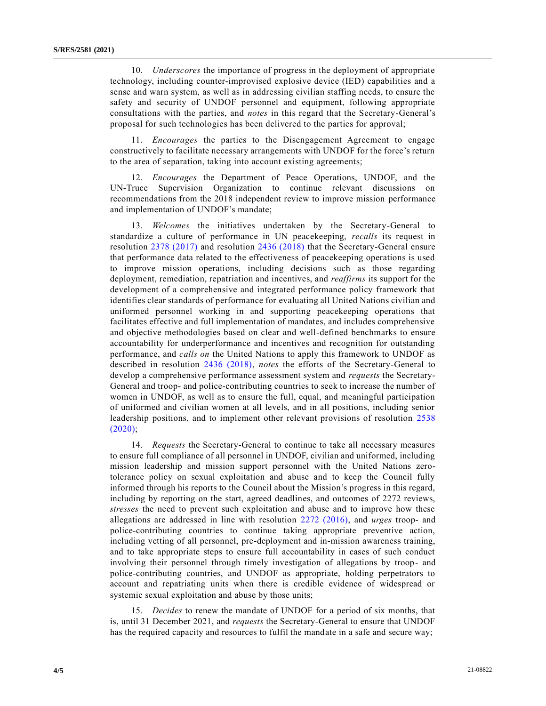10. *Underscores* the importance of progress in the deployment of appropriate technology, including counter-improvised explosive device (IED) capabilities and a sense and warn system, as well as in addressing civilian staffing needs, to ensure the safety and security of UNDOF personnel and equipment, following appropriate consultations with the parties, and *notes* in this regard that the Secretary-General's proposal for such technologies has been delivered to the parties for approval;

11. *Encourages* the parties to the Disengagement Agreement to engage constructively to facilitate necessary arrangements with UNDOF for the force's return to the area of separation, taking into account existing agreements;

12. *Encourages* the Department of Peace Operations, UNDOF, and the UN-Truce Supervision Organization to continue relevant discussions on recommendations from the 2018 independent review to improve mission performance and implementation of UNDOF's mandate;

13. *Welcomes* the initiatives undertaken by the Secretary-General to standardize a culture of performance in UN peacekeeping, *recalls* its request in resolution [2378 \(2017\)](https://undocs.org/en/S/RES/2378(2017)) and resolution [2436 \(2018\)](https://undocs.org/en/S/RES/2436(2018)) that the Secretary-General ensure that performance data related to the effectiveness of peacekeeping operations is used to improve mission operations, including decisions such as those regarding deployment, remediation, repatriation and incentives, and *reaffirms* its support for the development of a comprehensive and integrated performance policy framework that identifies clear standards of performance for evaluating all United Nations civilian and uniformed personnel working in and supporting peacekeeping operations that facilitates effective and full implementation of mandates, and includes comprehensive and objective methodologies based on clear and well-defined benchmarks to ensure accountability for underperformance and incentives and recognition for outstanding performance, and *calls on* the United Nations to apply this framework to UNDOF as described in resolution [2436 \(2018\),](https://undocs.org/en/S/RES/2436(2018)) *notes* the efforts of the Secretary-General to develop a comprehensive performance assessment system and *requests* the Secretary-General and troop- and police-contributing countries to seek to increase the number of women in UNDOF, as well as to ensure the full, equal, and meaningful participation of uniformed and civilian women at all levels, and in all positions, including senior leadership positions, and to implement other relevant provisions of resolution [2538](https://undocs.org/en/S/RES/2538(2020))  [\(2020\);](https://undocs.org/en/S/RES/2538(2020))

14. *Requests* the Secretary-General to continue to take all necessary measures to ensure full compliance of all personnel in UNDOF, civilian and uniformed, including mission leadership and mission support personnel with the United Nations zerotolerance policy on sexual exploitation and abuse and to keep the Council fully informed through his reports to the Council about the Mission's progress in this regard, including by reporting on the start, agreed deadlines, and outcomes of 2272 reviews, *stresses* the need to prevent such exploitation and abuse and to improve how these allegations are addressed in line with resolution [2272 \(2016\),](https://undocs.org/en/S/RES/2272(2016)) and *urges* troop- and police-contributing countries to continue taking appropriate preventive action, including vetting of all personnel, pre-deployment and in-mission awareness training, and to take appropriate steps to ensure full accountability in cases of such conduct involving their personnel through timely investigation of allegations by troop- and police-contributing countries, and UNDOF as appropriate, holding perpetrators to account and repatriating units when there is credible evidence of widespread or systemic sexual exploitation and abuse by those units;

15. *Decides* to renew the mandate of UNDOF for a period of six months, that is, until 31 December 2021, and *requests* the Secretary-General to ensure that UNDOF has the required capacity and resources to fulfil the mandate in a safe and secure way;